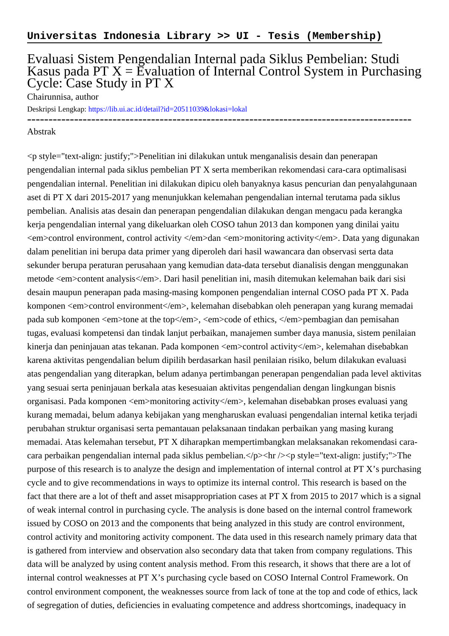## Evaluasi Sistem Pengendalian Internal pada Siklus Pembelian: Studi Kasus pada PT  $X = \overline{E}$ valuation of Internal Control System in Purchasing Cycle: Case Study in PT X

Chairunnisa, author

Deskripsi Lengkap:<https://lib.ui.ac.id/detail?id=20511039&lokasi=lokal> ------------------------------------------------------------------------------------------

## Abstrak

 $\leq p$  style="text-align: justify;">Penelitian ini dilakukan untuk menganalisis desain dan penerapan pengendalian internal pada siklus pembelian PT X serta memberikan rekomendasi cara-cara optimalisasi pengendalian internal. Penelitian ini dilakukan dipicu oleh banyaknya kasus pencurian dan penyalahgunaan aset di PT X dari 2015-2017 yang menunjukkan kelemahan pengendalian internal terutama pada siklus pembelian. Analisis atas desain dan penerapan pengendalian dilakukan dengan mengacu pada kerangka kerja pengendalian internal yang dikeluarkan oleh COSO tahun 2013 dan komponen yang dinilai yaitu <em>control environment, control activity </em>dan <em>monitoring activity</em>. Data yang digunakan dalam penelitian ini berupa data primer yang diperoleh dari hasil wawancara dan observasi serta data sekunder berupa peraturan perusahaan yang kemudian data-data tersebut dianalisis dengan menggunakan metode <em>content analysis</em>. Dari hasil penelitian ini, masih ditemukan kelemahan baik dari sisi desain maupun penerapan pada masing-masing komponen pengendalian internal COSO pada PT X. Pada komponen <em>control environment</em>, kelemahan disebabkan oleh penerapan yang kurang memadai pada sub komponen <em>tone at the top</em>, <em>code of ethics, </em>pembagian dan pemisahan tugas, evaluasi kompetensi dan tindak lanjut perbaikan, manajemen sumber daya manusia, sistem penilaian kinerja dan peninjauan atas tekanan. Pada komponen <em>control activity</em>, kelemahan disebabkan karena aktivitas pengendalian belum dipilih berdasarkan hasil penilaian risiko, belum dilakukan evaluasi atas pengendalian yang diterapkan, belum adanya pertimbangan penerapan pengendalian pada level aktivitas yang sesuai serta peninjauan berkala atas kesesuaian aktivitas pengendalian dengan lingkungan bisnis organisasi. Pada komponen <em>monitoring activity</em>, kelemahan disebabkan proses evaluasi yang kurang memadai, belum adanya kebijakan yang mengharuskan evaluasi pengendalian internal ketika terjadi perubahan struktur organisasi serta pemantauan pelaksanaan tindakan perbaikan yang masing kurang memadai. Atas kelemahan tersebut, PT X diharapkan mempertimbangkan melaksanakan rekomendasi caracara perbaikan pengendalian internal pada siklus pembelian.</p>>>>>> heta  $\epsilon$  style="text-align: justify;">The purpose of this research is to analyze the design and implementation of internal control at PT X's purchasing cycle and to give recommendations in ways to optimize its internal control. This research is based on the fact that there are a lot of theft and asset misappropriation cases at PT X from 2015 to 2017 which is a signal of weak internal control in purchasing cycle. The analysis is done based on the internal control framework issued by COSO on 2013 and the components that being analyzed in this study are control environment, control activity and monitoring activity component. The data used in this research namely primary data that is gathered from interview and observation also secondary data that taken from company regulations. This data will be analyzed by using content analysis method. From this research, it shows that there are a lot of internal control weaknesses at PT X's purchasing cycle based on COSO Internal Control Framework. On control environment component, the weaknesses source from lack of tone at the top and code of ethics, lack of segregation of duties, deficiencies in evaluating competence and address shortcomings, inadequacy in